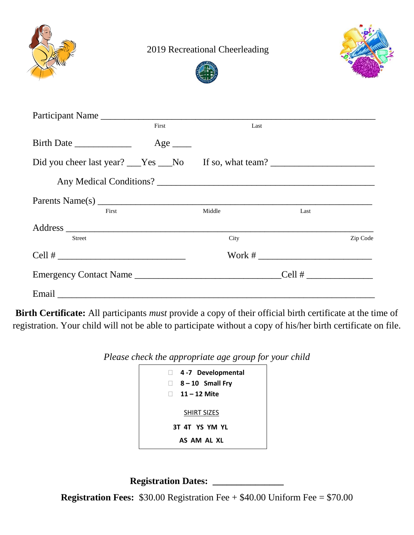

2019 Recreational Cheerleading





| Participant Name                                                                                                                                                                                                                                                                                                  |                       |        |                 |          |
|-------------------------------------------------------------------------------------------------------------------------------------------------------------------------------------------------------------------------------------------------------------------------------------------------------------------|-----------------------|--------|-----------------|----------|
|                                                                                                                                                                                                                                                                                                                   | First                 | Last   |                 |          |
| Birth Date                                                                                                                                                                                                                                                                                                        | $Age$ <sub>____</sub> |        |                 |          |
| Did you cheer last year? Yes No If so, what team?                                                                                                                                                                                                                                                                 |                       |        |                 |          |
|                                                                                                                                                                                                                                                                                                                   |                       |        |                 |          |
| Parents Name(s) $\frac{1}{2}$ $\frac{1}{2}$ $\frac{1}{2}$ $\frac{1}{2}$ $\frac{1}{2}$ $\frac{1}{2}$ $\frac{1}{2}$ $\frac{1}{2}$ $\frac{1}{2}$ $\frac{1}{2}$ $\frac{1}{2}$ $\frac{1}{2}$ $\frac{1}{2}$ $\frac{1}{2}$ $\frac{1}{2}$ $\frac{1}{2}$ $\frac{1}{2}$ $\frac{1}{2}$ $\frac{1}{2}$ $\frac{1}{2}$ $\frac{1$ |                       |        |                 |          |
| First                                                                                                                                                                                                                                                                                                             |                       | Middle | Last            |          |
|                                                                                                                                                                                                                                                                                                                   |                       |        |                 |          |
| <b>Street</b>                                                                                                                                                                                                                                                                                                     |                       | City   |                 | Zip Code |
| $Cell # \nightharpoonup$                                                                                                                                                                                                                                                                                          |                       |        |                 |          |
| Emergency Contact Name                                                                                                                                                                                                                                                                                            |                       |        | Cell # $\qquad$ |          |
|                                                                                                                                                                                                                                                                                                                   |                       |        |                 |          |

**Birth Certificate:** All participants *must* provide a copy of their official birth certificate at the time of registration. Your child will not be able to participate without a copy of his/her birth certificate on file.

*Please check the appropriate age group for your child*

| 4-7 Developmental<br>u.<br>$\Box$ 8 – 10 Small Fry<br>$\Box$ 11 – 12 Mite |  |  |  |  |
|---------------------------------------------------------------------------|--|--|--|--|
| SHIRT SIZES                                                               |  |  |  |  |
| 3T 4T YS YM YL                                                            |  |  |  |  |
| AS AM AL XL                                                               |  |  |  |  |

**Registration Dates: \_\_\_\_\_\_\_\_\_\_\_\_\_\_\_**

**Registration Fees:** \$30.00 Registration Fee + \$40.00 Uniform Fee = \$70.00